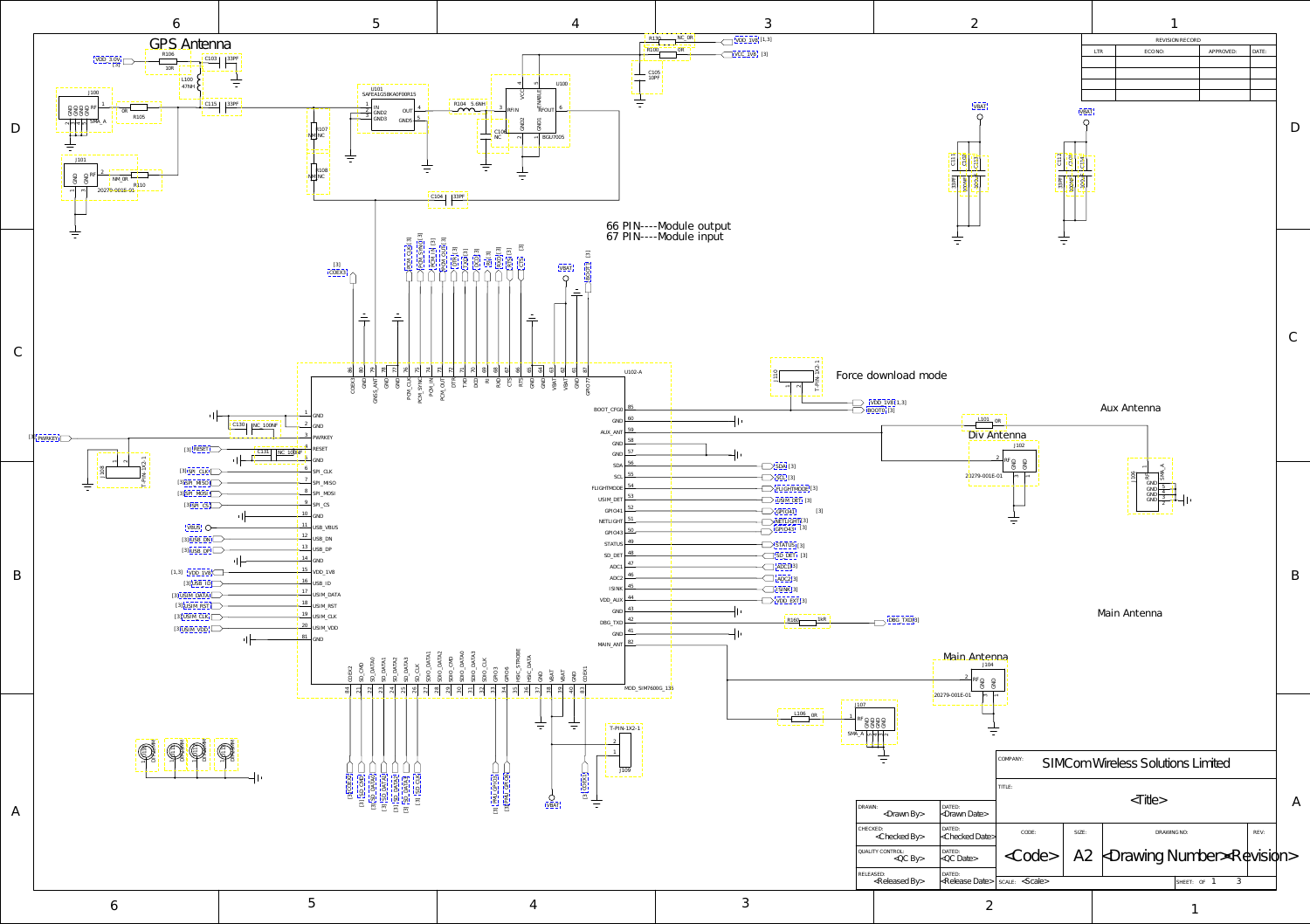<span id="page-0-0"></span>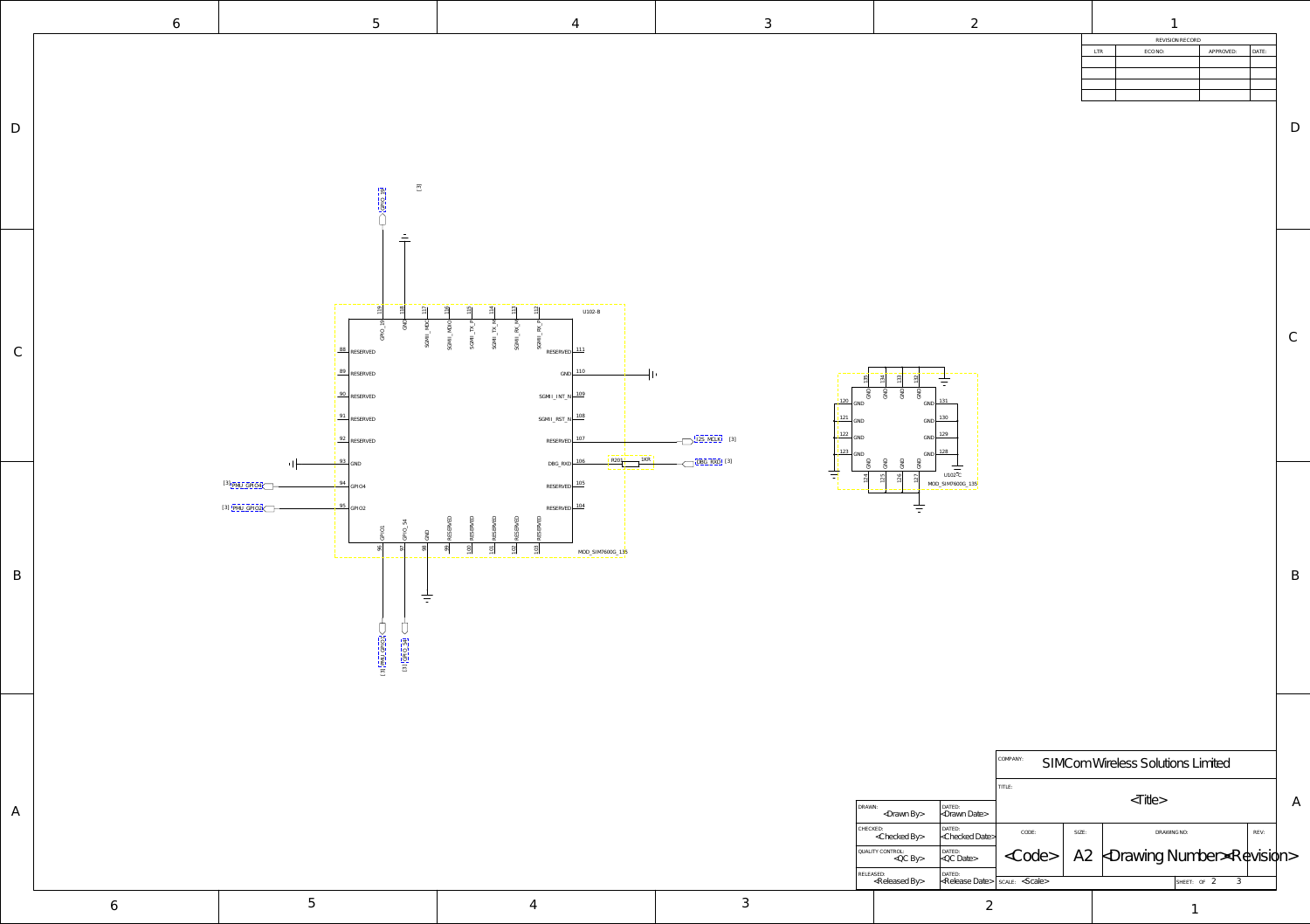D

C

<span id="page-1-0"></span>

B

6  $1$  5 4 1

| ۰.<br>o este a |   |
|----------------|---|
|                | ł |

| REVISION RECORD |            |         |           |       |  |  |
|-----------------|------------|---------|-----------|-------|--|--|
|                 | <b>LTR</b> | ECO NO: | APPROVED: | DATE: |  |  |
|                 |            |         |           |       |  |  |
|                 |            |         |           |       |  |  |
|                 |            |         |           |       |  |  |
|                 |            |         |           |       |  |  |

|        |                                          |                          | COMPANY:<br>SIMCom Wireless Solutions Limited |       |                                                                         |      |  |
|--------|------------------------------------------|--------------------------|-----------------------------------------------|-------|-------------------------------------------------------------------------|------|--|
|        |                                          |                          | TITLE:                                        |       | $\langle$ Title $\rangle$                                               |      |  |
| DRAWN: | <drawn by=""></drawn>                    | DATED:<br>kDrawn Date>   |                                               |       | A                                                                       |      |  |
|        | CHECKED:<br><checked by=""></checked>    | DATED:<br>kChecked Date> | CODE:                                         | SIZE: | DRAWING NO:                                                             | REV: |  |
|        | QUALITY CONTROL:<br>$QCD$ By             | DATED:<br>$kQC$ Date>    | <code></code>                                 |       | $A2 \nmid \text{Drawing Number} \times \text{Re} \times \text{Poisson}$ |      |  |
|        | RELEASED:<br><released by=""></released> | DATED:<br>kRelease Date> | scale> <scale></scale>                        |       | 3<br>SHEET: OF 2                                                        |      |  |



| -28 - | MC I<br>n. | 3 |
|-------|------------|---|
|       |            |   |